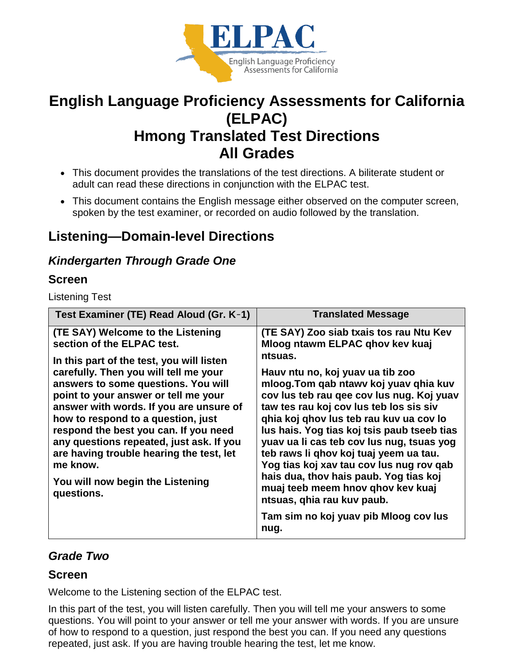

# **English Language Proficiency Assessments for California (ELPAC) Hmong Translated Test Directions All Grades**

- This document provides the translations of the test directions. A biliterate student or adult can read these directions in conjunction with the ELPAC test.
- This document contains the English message either observed on the computer screen, spoken by the test examiner, or recorded on audio followed by the translation.

# **Listening—Domain-level Directions**

## *Kindergarten Through Grade One*

## **Screen**

Listening Test

| Test Examiner (TE) Read Aloud (Gr. K-1)                                                                                                                                                                                                                                                                                                                                                                                                                                                                              | <b>Translated Message</b>                                                                                                                                                                                                                                                                                                                                                                                                                                                                                                                                                                             |
|----------------------------------------------------------------------------------------------------------------------------------------------------------------------------------------------------------------------------------------------------------------------------------------------------------------------------------------------------------------------------------------------------------------------------------------------------------------------------------------------------------------------|-------------------------------------------------------------------------------------------------------------------------------------------------------------------------------------------------------------------------------------------------------------------------------------------------------------------------------------------------------------------------------------------------------------------------------------------------------------------------------------------------------------------------------------------------------------------------------------------------------|
| (TE SAY) Welcome to the Listening<br>section of the ELPAC test.<br>In this part of the test, you will listen<br>carefully. Then you will tell me your<br>answers to some questions. You will<br>point to your answer or tell me your<br>answer with words. If you are unsure of<br>how to respond to a question, just<br>respond the best you can. If you need<br>any questions repeated, just ask. If you<br>are having trouble hearing the test, let<br>me know.<br>You will now begin the Listening<br>questions. | (TE SAY) Zoo siab txais tos rau Ntu Kev<br>Mloog ntawm ELPAC ghov kev kuaj<br>ntsuas.<br>Hauv ntu no, koj yuav ua tib zoo<br>mloog. Tom qab ntawy koj yuav qhia kuv<br>cov lus teb rau gee cov lus nug. Koj yuav<br>taw tes rau koj cov lus teb los sis siv<br>qhia koj qhov lus teb rau kuv ua cov lo<br>lus hais. Yog tias koj tsis paub tseeb tias<br>yuav ua li cas teb cov lus nug, tsuas yog<br>teb raws li ghov koj tuaj yeem ua tau.<br>Yog tias koj xav tau cov lus nug rov qab<br>hais dua, thov hais paub. Yog tias koj<br>muaj teeb meem hnov qhov kev kuaj<br>ntsuas, ghia rau kuv paub. |
|                                                                                                                                                                                                                                                                                                                                                                                                                                                                                                                      | Tam sim no koj yuav pib Mloog cov lus<br>nug.                                                                                                                                                                                                                                                                                                                                                                                                                                                                                                                                                         |

## *Grade Two*

## **Screen**

Welcome to the Listening section of the ELPAC test.

In this part of the test, you will listen carefully. Then you will tell me your answers to some questions. You will point to your answer or tell me your answer with words. If you are unsure of how to respond to a question, just respond the best you can. If you need any questions repeated, just ask. If you are having trouble hearing the test, let me know.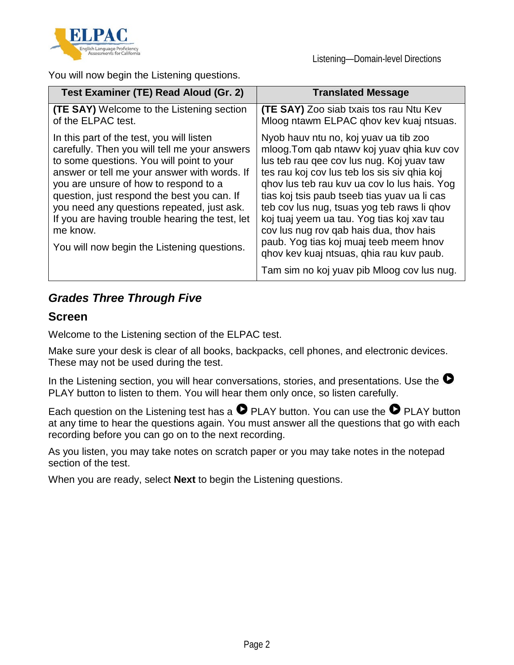

Listening—Domain-level Directions

You will now begin the Listening questions.

| Test Examiner (TE) Read Aloud (Gr. 2)                                                                                                                                                                                                                                                                                                                                                                                                       | <b>Translated Message</b>                                                                                                                                                                                                                                                                                                                                                                                                                                                                                      |
|---------------------------------------------------------------------------------------------------------------------------------------------------------------------------------------------------------------------------------------------------------------------------------------------------------------------------------------------------------------------------------------------------------------------------------------------|----------------------------------------------------------------------------------------------------------------------------------------------------------------------------------------------------------------------------------------------------------------------------------------------------------------------------------------------------------------------------------------------------------------------------------------------------------------------------------------------------------------|
| <b>(TE SAY)</b> Welcome to the Listening section<br>of the ELPAC test.                                                                                                                                                                                                                                                                                                                                                                      | <b>(TE SAY)</b> Zoo siab txais tos rau Ntu Kev<br>Mloog ntawm ELPAC ghov kev kuaj ntsuas.                                                                                                                                                                                                                                                                                                                                                                                                                      |
| In this part of the test, you will listen<br>carefully. Then you will tell me your answers<br>to some questions. You will point to your<br>answer or tell me your answer with words. If<br>you are unsure of how to respond to a<br>question, just respond the best you can. If<br>you need any questions repeated, just ask.<br>If you are having trouble hearing the test, let<br>me know.<br>You will now begin the Listening questions. | Nyob hauv ntu no, koj yuav ua tib zoo<br>mloog. Tom qab ntawv koj yuav qhia kuv cov<br>lus teb rau gee cov lus nug. Koj yuav taw<br>tes rau koj cov lus teb los sis siv ghia koj<br>ghov lus teb rau kuv ua cov lo lus hais. Yog<br>tias koj tsis paub tseeb tias yuav ua li cas<br>teb cov lus nug, tsuas yog teb raws li qhov<br>koj tuaj yeem ua tau. Yog tias koj xav tau<br>cov lus nug rov gab hais dua, thov hais<br>paub. Yog tias koj muaj teeb meem hnov<br>ghov kev kuaj ntsuas, ghia rau kuv paub. |
|                                                                                                                                                                                                                                                                                                                                                                                                                                             | Tam sim no koj yuav pib Mloog cov lus nug.                                                                                                                                                                                                                                                                                                                                                                                                                                                                     |

## *Grades Three Through Five*

### **Screen**

Welcome to the Listening section of the ELPAC test.

Make sure your desk is clear of all books, backpacks, cell phones, and electronic devices. These may not be used during the test.

In the Listening section, you will hear conversations, stories, and presentations. Use the  $\bullet$ PLAY button to listen to them. You will hear them only once, so listen carefully.

Each question on the Listening test has a  $\bullet$  PLAY button. You can use the  $\bullet$  PLAY button at any time to hear the questions again. You must answer all the questions that go with each recording before you can go on to the next recording.

As you listen, you may take notes on scratch paper or you may take notes in the notepad section of the test.

When you are ready, select **Next** to begin the Listening questions.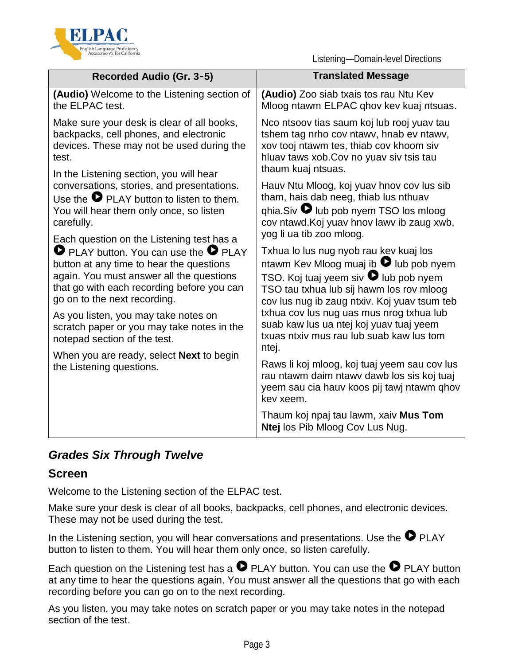

Listening—Domain-level Directions

| Recorded Audio (Gr. 3-5)                                                                                                                                                                                                                                                                                                                                     | <b>Translated Message</b>                                                                                                                                                                                                                                                                                                       |
|--------------------------------------------------------------------------------------------------------------------------------------------------------------------------------------------------------------------------------------------------------------------------------------------------------------------------------------------------------------|---------------------------------------------------------------------------------------------------------------------------------------------------------------------------------------------------------------------------------------------------------------------------------------------------------------------------------|
| <b>(Audio)</b> Welcome to the Listening section of<br>the ELPAC test.                                                                                                                                                                                                                                                                                        | (Audio) Zoo siab txais tos rau Ntu Kev<br>Mloog ntawm ELPAC ghov kev kuaj ntsuas.                                                                                                                                                                                                                                               |
| Make sure your desk is clear of all books,<br>backpacks, cell phones, and electronic<br>devices. These may not be used during the<br>test.<br>In the Listening section, you will hear                                                                                                                                                                        | Nco ntsoov tias saum koj lub rooj yuav tau<br>tshem tag nrho cov ntawy, hnab ev ntawy,<br>xov tooj ntawm tes, thiab cov khoom siv<br>hluav taws xob. Cov no yuav siv tsis tau<br>thaum kuaj ntsuas.                                                                                                                             |
| conversations, stories, and presentations.<br>Use the $\bullet$ PLAY button to listen to them.<br>You will hear them only once, so listen<br>carefully.                                                                                                                                                                                                      | Hauv Ntu Mloog, koj yuav hnov cov lus sib<br>tham, hais dab neeg, thiab lus nthuav<br>$q$ hia.Siv $\bullet$ lub pob nyem TSO los mloog<br>cov ntawd. Koj yuav hnov lawv ib zaug xwb,<br>yog li ua tib zoo mloog.                                                                                                                |
| Each question on the Listening test has a<br><b>O</b> PLAY button. You can use the <b>O</b> PLAY<br>button at any time to hear the questions<br>again. You must answer all the questions<br>that go with each recording before you can<br>go on to the next recording.<br>As you listen, you may take notes on<br>scratch paper or you may take notes in the | Txhua lo lus nug nyob rau kev kuaj los<br>ntawm Kev Mloog muaj ib <sup>1</sup> lub pob nyem<br>TSO. Koj tuaj yeem siv $\bullet$ lub pob nyem<br>TSO tau txhua lub sij hawm los rov mloog<br>cov lus nug ib zaug ntxiv. Koj yuav tsum teb<br>txhua cov lus nug uas mus nrog txhua lub<br>suab kaw lus ua ntej koj yuav tuaj yeem |
| notepad section of the test.<br>When you are ready, select <b>Next</b> to begin                                                                                                                                                                                                                                                                              | txuas ntxiv mus rau lub suab kaw lus tom<br>ntej.                                                                                                                                                                                                                                                                               |
| the Listening questions.                                                                                                                                                                                                                                                                                                                                     | Raws li koj mloog, koj tuaj yeem sau cov lus<br>rau ntawm daim ntawy dawb los sis koj tuaj<br>yeem sau cia hauv koos pij tawj ntawm qhov<br>kev xeem.                                                                                                                                                                           |
|                                                                                                                                                                                                                                                                                                                                                              | Thaum koj npaj tau lawm, xaiv Mus Tom<br>Ntej los Pib Mloog Cov Lus Nug.                                                                                                                                                                                                                                                        |

## *Grades Six Through Twelve*

## **Screen**

Welcome to the Listening section of the ELPAC test.

Make sure your desk is clear of all books, backpacks, cell phones, and electronic devices. These may not be used during the test.

In the Listening section, you will hear conversations and presentations. Use the  $\bullet$  PLAY button to listen to them. You will hear them only once, so listen carefully.

Each question on the Listening test has a  $\bullet$  PLAY button. You can use the  $\bullet$  PLAY button at any time to hear the questions again. You must answer all the questions that go with each recording before you can go on to the next recording.

As you listen, you may take notes on scratch paper or you may take notes in the notepad section of the test.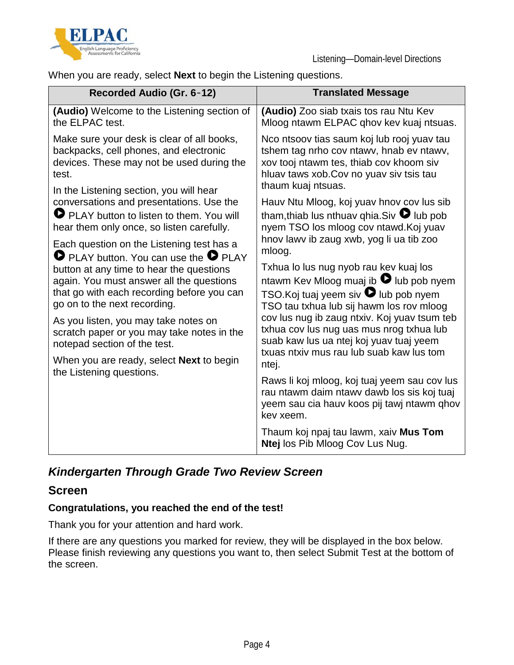



When you are ready, select **Next** to begin the Listening questions.

| Recorded Audio (Gr. 6-12)                                                                                                                                                                                                                                                                                                                                                                                                                                                   | <b>Translated Message</b>                                                                                                                                                                                                                                                                                                                                                                                                                  |
|-----------------------------------------------------------------------------------------------------------------------------------------------------------------------------------------------------------------------------------------------------------------------------------------------------------------------------------------------------------------------------------------------------------------------------------------------------------------------------|--------------------------------------------------------------------------------------------------------------------------------------------------------------------------------------------------------------------------------------------------------------------------------------------------------------------------------------------------------------------------------------------------------------------------------------------|
| (Audio) Welcome to the Listening section of<br>the ELPAC test.                                                                                                                                                                                                                                                                                                                                                                                                              | (Audio) Zoo siab txais tos rau Ntu Kev<br>Mloog ntawm ELPAC ghov kev kuaj ntsuas.                                                                                                                                                                                                                                                                                                                                                          |
| Make sure your desk is clear of all books,<br>backpacks, cell phones, and electronic<br>devices. These may not be used during the<br>test.<br>In the Listening section, you will hear                                                                                                                                                                                                                                                                                       | Nco ntsoov tias saum koj lub rooj yuav tau<br>tshem tag nrho cov ntawy, hnab ev ntawy,<br>xov tooj ntawm tes, thiab cov khoom siv<br>hluav taws xob. Cov no yuav siv tsis tau<br>thaum kuaj ntsuas.                                                                                                                                                                                                                                        |
| conversations and presentations. Use the<br>PLAY button to listen to them. You will<br>hear them only once, so listen carefully.                                                                                                                                                                                                                                                                                                                                            | Hauv Ntu Mloog, koj yuav hnov cov lus sib<br>tham, thiab lus nthuav qhia. Siv $\bullet$ lub pob<br>nyem TSO los mloog cov ntawd. Koj yuav<br>hnov lawy ib zaug xwb, yog li ua tib zoo                                                                                                                                                                                                                                                      |
| Each question on the Listening test has a<br><b>O</b> PLAY button. You can use the <b>O</b> PLAY<br>button at any time to hear the questions<br>again. You must answer all the questions<br>that go with each recording before you can<br>go on to the next recording.<br>As you listen, you may take notes on<br>scratch paper or you may take notes in the<br>notepad section of the test.<br>When you are ready, select <b>Next</b> to begin<br>the Listening questions. | mloog.<br>Txhua lo lus nug nyob rau kev kuaj los<br>ntawm Kev Mloog muaj ib $\bullet$ lub pob nyem<br>TSO.Koj tuaj yeem siv $\bullet$ lub pob nyem<br>TSO tau txhua lub sij hawm los rov mloog<br>cov lus nug ib zaug ntxiv. Koj yuav tsum teb<br>txhua cov lus nug uas mus nrog txhua lub<br>suab kaw lus ua ntej koj yuav tuaj yeem<br>txuas ntxiv mus rau lub suab kaw lus tom<br>ntej.<br>Raws li koj mloog, koj tuaj yeem sau cov lus |
|                                                                                                                                                                                                                                                                                                                                                                                                                                                                             | rau ntawm daim ntawy dawb los sis koj tuaj<br>yeem sau cia hauv koos pij tawj ntawm qhov<br>kev xeem.                                                                                                                                                                                                                                                                                                                                      |
|                                                                                                                                                                                                                                                                                                                                                                                                                                                                             | Thaum koj npaj tau lawm, xaiv Mus Tom<br>Ntej los Pib Mloog Cov Lus Nug.                                                                                                                                                                                                                                                                                                                                                                   |

## *Kindergarten Through Grade Two Review Screen*

## **Screen**

#### **Congratulations, you reached the end of the test!**

Thank you for your attention and hard work.

If there are any questions you marked for review, they will be displayed in the box below. Please finish reviewing any questions you want to, then select Submit Test at the bottom of the screen.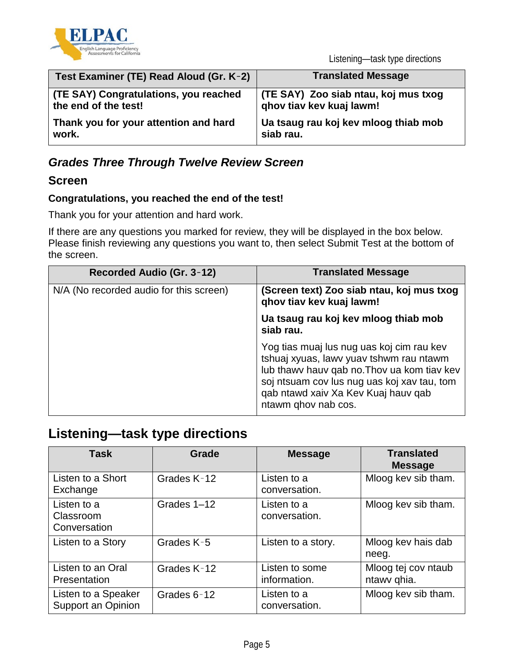

Listening—task type directions

| Test Examiner (TE) Read Aloud (Gr. K-2) | <b>Translated Message</b>            |
|-----------------------------------------|--------------------------------------|
| (TE SAY) Congratulations, you reached   | (TE SAY) Zoo siab ntau, koj mus txog |
| the end of the test!                    | ghov tiav kev kuaj lawm!             |
| Thank you for your attention and hard   | Ua tsaug rau koj kev mloog thiab mob |
| work.                                   | siab rau.                            |

## *Grades Three Through Twelve Review Screen*

## **Screen**

### **Congratulations, you reached the end of the test!**

Thank you for your attention and hard work.

If there are any questions you marked for review, they will be displayed in the box below. Please finish reviewing any questions you want to, then select Submit Test at the bottom of the screen.

| Recorded Audio (Gr. 3-12)               | <b>Translated Message</b>                                                                                                                                                                                                                        |
|-----------------------------------------|--------------------------------------------------------------------------------------------------------------------------------------------------------------------------------------------------------------------------------------------------|
| N/A (No recorded audio for this screen) | (Screen text) Zoo siab ntau, koj mus txog<br>ghov tiav kev kuaj lawm!                                                                                                                                                                            |
|                                         | Ua tsaug rau koj kev mloog thiab mob<br>siab rau.                                                                                                                                                                                                |
|                                         | Yog tias muaj lus nug uas koj cim rau kev<br>tshuaj xyuas, lawv yuav tshwm rau ntawm<br>lub thawy hauv gab no. Thoy ua kom tiav key<br>soj ntsuam cov lus nug uas koj xav tau, tom<br>qab ntawd xaiv Xa Kev Kuaj hauv qab<br>ntawm qhov nab cos. |

# **Listening—task type directions**

| <b>Task</b>                               | Grade       | <b>Message</b>                 | <b>Translated</b><br><b>Message</b> |
|-------------------------------------------|-------------|--------------------------------|-------------------------------------|
| Listen to a Short<br>Exchange             | Grades K-12 | Listen to a<br>conversation.   | Mloog kev sib tham.                 |
| Listen to a<br>Classroom<br>Conversation  | Grades 1-12 | Listen to a<br>conversation.   | Mloog kev sib tham.                 |
| Listen to a Story                         | Grades K-5  | Listen to a story.             | Mloog kev hais dab<br>neeg.         |
| Listen to an Oral<br>Presentation         | Grades K-12 | Listen to some<br>information. | Mloog tej cov ntaub<br>ntawy qhia.  |
| Listen to a Speaker<br>Support an Opinion | Grades 6-12 | Listen to a<br>conversation.   | Mloog kev sib tham.                 |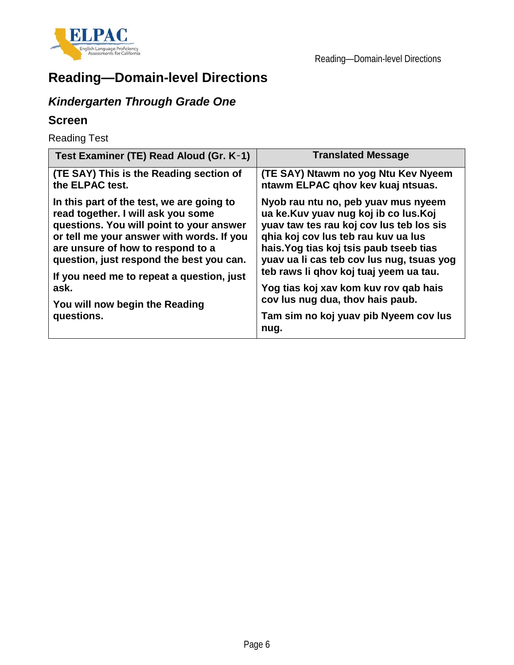

# **Reading—Domain-level Directions**

# *Kindergarten Through Grade One*

## **Screen**

Reading Test

| Test Examiner (TE) Read Aloud (Gr. K-1)   | <b>Translated Message</b>                     |
|-------------------------------------------|-----------------------------------------------|
| (TE SAY) This is the Reading section of   | (TE SAY) Ntawm no yog Ntu Kev Nyeem           |
| the ELPAC test.                           | ntawm ELPAC qhov kev kuaj ntsuas.             |
| In this part of the test, we are going to | Nyob rau ntu no, peb yuav mus nyeem           |
| read together. I will ask you some        | ua ke.Kuv yuav nug koj ib co lus.Koj          |
| questions. You will point to your answer  | yuav taw tes rau koj cov lus teb los sis      |
| or tell me your answer with words. If you | ghia koj cov lus teb rau kuv ua lus           |
| are unsure of how to respond to a         | hais. Yog tias koj tsis paub tseeb tias       |
| question, just respond the best you can.  | yuav ua li cas teb cov lus nug, tsuas yog     |
| If you need me to repeat a question, just | teb raws li qhov koj tuaj yeem ua tau.        |
| ask.                                      | Yog tias koj xav kom kuv rov qab hais         |
| You will now begin the Reading            | cov lus nug dua, thov hais paub.              |
| questions.                                | Tam sim no koj yuav pib Nyeem cov lus<br>nug. |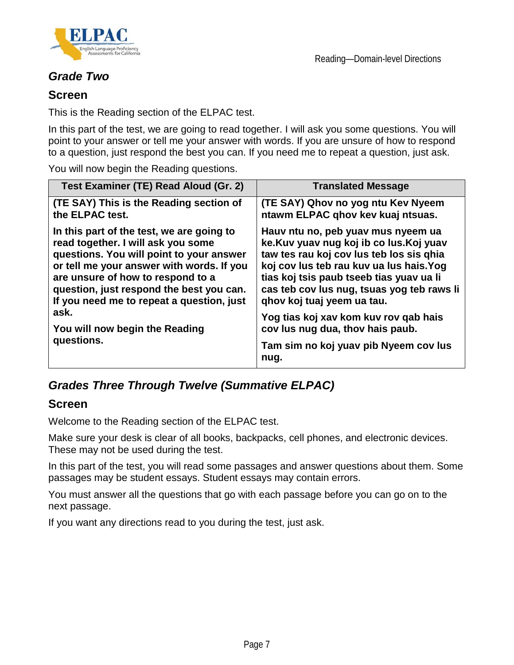

## *Grade Two*

### **Screen**

This is the Reading section of the ELPAC test.

In this part of the test, we are going to read together. I will ask you some questions. You will point to your answer or tell me your answer with words. If you are unsure of how to respond to a question, just respond the best you can. If you need me to repeat a question, just ask.

You will now begin the Reading questions.

| Test Examiner (TE) Read Aloud (Gr. 2)                | <b>Translated Message</b>                                                                                                  |
|------------------------------------------------------|----------------------------------------------------------------------------------------------------------------------------|
| (TE SAY) This is the Reading section of              | (TE SAY) Qhov no yog ntu Kev Nyeem                                                                                         |
| the ELPAC test.                                      | ntawm ELPAC qhov kev kuaj ntsuas.                                                                                          |
| In this part of the test, we are going to            | Hauv ntu no, peb yuav mus nyeem ua                                                                                         |
| read together. I will ask you some                   | ke.Kuv yuav nug koj ib co lus.Koj yuav                                                                                     |
| questions. You will point to your answer             | taw tes rau koj cov lus teb los sis qhia                                                                                   |
| or tell me your answer with words. If you            | koj cov lus teb rau kuv ua lus hais. Yog                                                                                   |
| are unsure of how to respond to a                    | tias koj tsis paub tseeb tias yuav ua li                                                                                   |
| question, just respond the best you can.             | cas teb cov lus nug, tsuas yog teb raws li                                                                                 |
| If you need me to repeat a question, just            | ghov koj tuaj yeem ua tau.                                                                                                 |
| ask.<br>You will now begin the Reading<br>questions. | Yog tias koj xav kom kuv rov qab hais<br>cov lus nug dua, thov hais paub.<br>Tam sim no koj yuav pib Nyeem cov lus<br>nug. |

## *Grades Three Through Twelve (Summative ELPAC)*

### **Screen**

Welcome to the Reading section of the ELPAC test.

Make sure your desk is clear of all books, backpacks, cell phones, and electronic devices. These may not be used during the test.

In this part of the test, you will read some passages and answer questions about them. Some passages may be student essays. Student essays may contain errors.

You must answer all the questions that go with each passage before you can go on to the next passage.

If you want any directions read to you during the test, just ask.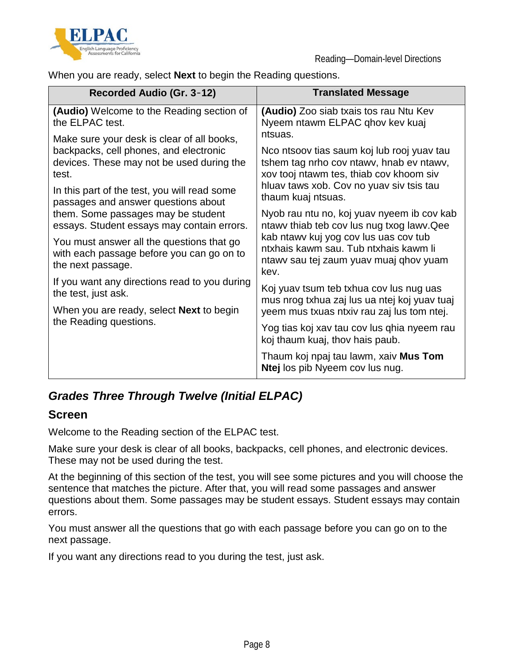

When you are ready, select **Next** to begin the Reading questions.

| Recorded Audio (Gr. 3-12)                                                                                                                                                                                                         | <b>Translated Message</b>                                                                                                                                                                                      |
|-----------------------------------------------------------------------------------------------------------------------------------------------------------------------------------------------------------------------------------|----------------------------------------------------------------------------------------------------------------------------------------------------------------------------------------------------------------|
| (Audio) Welcome to the Reading section of<br>the ELPAC test.                                                                                                                                                                      | (Audio) Zoo siab txais tos rau Ntu Kev<br>Nyeem ntawm ELPAC ghov kev kuaj                                                                                                                                      |
| Make sure your desk is clear of all books,<br>backpacks, cell phones, and electronic<br>devices. These may not be used during the<br>test.<br>In this part of the test, you will read some<br>passages and answer questions about | ntsuas.<br>Nco ntsoov tias saum koj lub rooj yuav tau<br>tshem tag nrho cov ntawy, hnab ev ntawy,<br>xov tooj ntawm tes, thiab cov khoom siv<br>hluav taws xob. Cov no yuav siv tsis tau<br>thaum kuaj ntsuas. |
| them. Some passages may be student<br>essays. Student essays may contain errors.                                                                                                                                                  | Nyob rau ntu no, koj yuav nyeem ib cov kab<br>ntawy thiab teb cov lus nug txog lawy. Qee                                                                                                                       |
| You must answer all the questions that go<br>with each passage before you can go on to<br>the next passage.                                                                                                                       | kab ntawy kuj yog cov lus uas cov tub<br>ntxhais kawm sau. Tub ntxhais kawm li<br>ntawy sau tej zaum yuay muaj qhov yuam<br>kev.                                                                               |
| If you want any directions read to you during<br>the test, just ask.                                                                                                                                                              | Koj yuav tsum teb txhua cov lus nug uas<br>mus nrog txhua zaj lus ua ntej koj yuav tuaj                                                                                                                        |
| When you are ready, select <b>Next</b> to begin                                                                                                                                                                                   | yeem mus txuas ntxiv rau zaj lus tom ntej.                                                                                                                                                                     |
| the Reading questions.                                                                                                                                                                                                            | Yog tias koj xav tau cov lus ghia nyeem rau<br>koj thaum kuaj, thov hais paub.                                                                                                                                 |
|                                                                                                                                                                                                                                   | Thaum koj npaj tau lawm, xaiv Mus Tom<br>Ntej los pib Nyeem cov lus nug.                                                                                                                                       |

## *Grades Three Through Twelve (Initial ELPAC)*

## **Screen**

Welcome to the Reading section of the ELPAC test.

Make sure your desk is clear of all books, backpacks, cell phones, and electronic devices. These may not be used during the test.

At the beginning of this section of the test, you will see some pictures and you will choose the sentence that matches the picture. After that, you will read some passages and answer questions about them. Some passages may be student essays. Student essays may contain errors.

You must answer all the questions that go with each passage before you can go on to the next passage.

If you want any directions read to you during the test, just ask.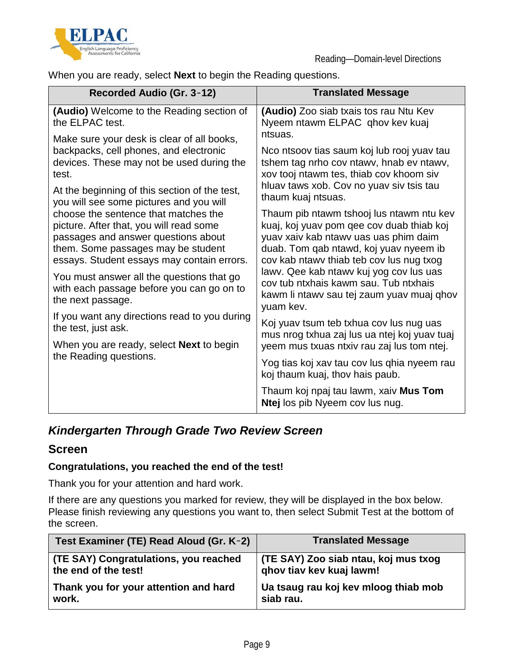

When you are ready, select **Next** to begin the Reading questions.

| Recorded Audio (Gr. 3-12)                                                                                                                                                                                                              | <b>Translated Message</b>                                                                                                                                                                                            |
|----------------------------------------------------------------------------------------------------------------------------------------------------------------------------------------------------------------------------------------|----------------------------------------------------------------------------------------------------------------------------------------------------------------------------------------------------------------------|
| (Audio) Welcome to the Reading section of<br>the ELPAC test.                                                                                                                                                                           | (Audio) Zoo siab txais tos rau Ntu Kev<br>Nyeem ntawm ELPAC qhov kev kuaj                                                                                                                                            |
| Make sure your desk is clear of all books,<br>backpacks, cell phones, and electronic<br>devices. These may not be used during the<br>test.<br>At the beginning of this section of the test,<br>you will see some pictures and you will | ntsuas.<br>Nco ntsoov tias saum koj lub rooj yuav tau<br>tshem tag nrho cov ntawy, hnab ev ntawy,<br>xov tooj ntawm tes, thiab cov khoom siv<br>hluav taws xob. Cov no yuav siv tsis tau<br>thaum kuaj ntsuas.       |
| choose the sentence that matches the<br>picture. After that, you will read some<br>passages and answer questions about<br>them. Some passages may be student<br>essays. Student essays may contain errors.                             | Thaum pib ntawm tshooj lus ntawm ntu kev<br>kuaj, koj yuav pom qee cov duab thiab koj<br>yuav xaiv kab ntawy uas uas phim daim<br>duab. Tom qab ntawd, koj yuav nyeem ib<br>cov kab ntawy thiab teb cov lus nug txog |
| You must answer all the questions that go<br>with each passage before you can go on to<br>the next passage.                                                                                                                            | lawv. Qee kab ntawv kuj yog cov lus uas<br>cov tub ntxhais kawm sau. Tub ntxhais<br>kawm li ntawy sau tej zaum yuay muaj qhov<br>yuam kev.                                                                           |
| If you want any directions read to you during<br>the test, just ask.                                                                                                                                                                   | Koj yuav tsum teb txhua cov lus nug uas<br>mus nrog txhua zaj lus ua ntej koj yuav tuaj                                                                                                                              |
| When you are ready, select <b>Next</b> to begin<br>the Reading questions.                                                                                                                                                              | yeem mus txuas ntxiv rau zaj lus tom ntej.                                                                                                                                                                           |
|                                                                                                                                                                                                                                        | Yog tias koj xav tau cov lus ghia nyeem rau<br>koj thaum kuaj, thov hais paub.                                                                                                                                       |
|                                                                                                                                                                                                                                        | Thaum koj npaj tau lawm, xaiv Mus Tom<br>Ntej los pib Nyeem cov lus nug.                                                                                                                                             |

## *Kindergarten Through Grade Two Review Screen*

### **Screen**

#### **Congratulations, you reached the end of the test!**

Thank you for your attention and hard work.

If there are any questions you marked for review, they will be displayed in the box below. Please finish reviewing any questions you want to, then select Submit Test at the bottom of the screen.

| Test Examiner (TE) Read Aloud (Gr. K-2) | <b>Translated Message</b>            |
|-----------------------------------------|--------------------------------------|
| (TE SAY) Congratulations, you reached   | (TE SAY) Zoo siab ntau, koj mus txog |
| the end of the test!                    | ghov tiav kev kuaj lawm!             |
| Thank you for your attention and hard   | Ua tsaug rau koj kev mloog thiab mob |
| work.                                   | siab rau.                            |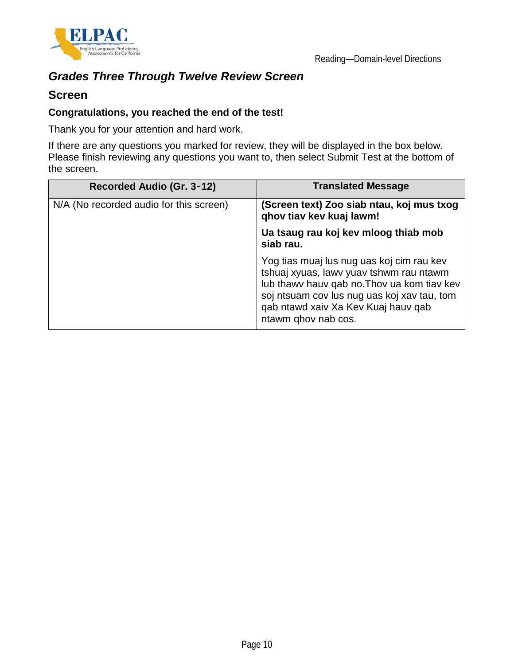

# *Grades Three Through Twelve Review Screen*

### **Screen**

#### **Congratulations, you reached the end of the test!**

Thank you for your attention and hard work.

If there are any questions you marked for review, they will be displayed in the box below. Please finish reviewing any questions you want to, then select Submit Test at the bottom of the screen.

| Recorded Audio (Gr. 3-12)               | <b>Translated Message</b>                                                                                                                                                                                                                        |
|-----------------------------------------|--------------------------------------------------------------------------------------------------------------------------------------------------------------------------------------------------------------------------------------------------|
| N/A (No recorded audio for this screen) | (Screen text) Zoo siab ntau, koj mus txog<br>qhov tiav kev kuaj lawm!                                                                                                                                                                            |
|                                         | Ua tsaug rau koj kev mloog thiab mob<br>siab rau.                                                                                                                                                                                                |
|                                         | Yog tias muaj lus nug uas koj cim rau kev<br>tshuaj xyuas, lawv yuav tshwm rau ntawm<br>lub thawy hauv gab no. Thoy ua kom tiav key<br>soj ntsuam cov lus nug uas koj xav tau, tom<br>qab ntawd xaiv Xa Kev Kuaj hauv qab<br>ntawm qhov nab cos. |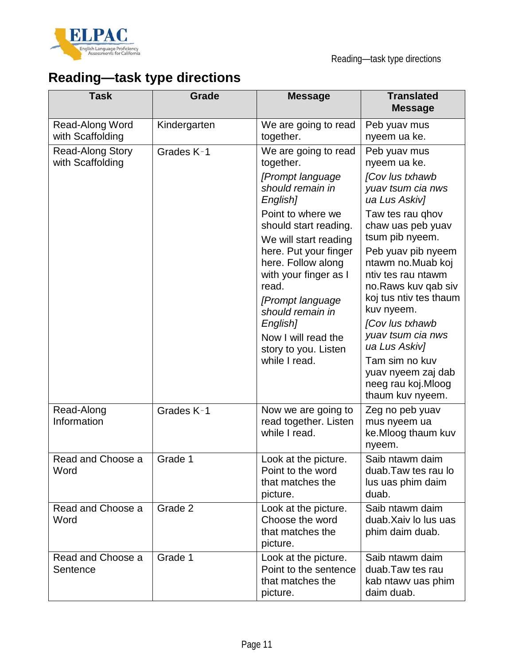

# **Reading—task type directions**

| <b>Task</b>                                 | <b>Grade</b> | <b>Message</b>                                                                                                                                                                                    | <b>Translated</b><br><b>Message</b>                                                                                                                                                                                                                                       |
|---------------------------------------------|--------------|---------------------------------------------------------------------------------------------------------------------------------------------------------------------------------------------------|---------------------------------------------------------------------------------------------------------------------------------------------------------------------------------------------------------------------------------------------------------------------------|
| Read-Along Word<br>with Scaffolding         | Kindergarten | We are going to read<br>together.                                                                                                                                                                 | Peb yuav mus<br>nyeem ua ke.                                                                                                                                                                                                                                              |
| <b>Read-Along Story</b><br>with Scaffolding | Grades K-1   | We are going to read<br>together.                                                                                                                                                                 | Peb yuav mus<br>nyeem ua ke.                                                                                                                                                                                                                                              |
|                                             |              | [Prompt language<br>should remain in<br>English]                                                                                                                                                  | [Cov lus txhawb<br>yuav tsum cia nws<br>ua Lus Askiv]                                                                                                                                                                                                                     |
|                                             |              | Point to where we<br>should start reading.<br>We will start reading                                                                                                                               | Taw tes rau ghov<br>chaw uas peb yuav<br>tsum pib nyeem.                                                                                                                                                                                                                  |
|                                             |              | here. Put your finger<br>here. Follow along<br>with your finger as I<br>read.<br>[Prompt language<br>should remain in<br>English]<br>Now I will read the<br>story to you. Listen<br>while I read. | Peb yuav pib nyeem<br>ntawm no.Muab koj<br>ntiv tes rau ntawm<br>no. Raws kuv qab siv<br>koj tus ntiv tes thaum<br>kuv nyeem.<br>[Cov lus txhawb<br>yuav tsum cia nws<br>ua Lus Askiv]<br>Tam sim no kuv<br>yuav nyeem zaj dab<br>neeg rau koj. Mloog<br>thaum kuv nyeem. |
| Read-Along<br>Information                   | Grades K-1   | Now we are going to<br>read together. Listen<br>while I read.                                                                                                                                     | Zeg no peb yuav<br>mus nyeem ua<br>ke.Mloog thaum kuv<br>nyeem.                                                                                                                                                                                                           |
| Read and Choose a<br>Word                   | Grade 1      | Look at the picture.<br>Point to the word<br>that matches the<br>picture.                                                                                                                         | Saib ntawm daim<br>duab. Taw tes rau lo<br>lus uas phim daim<br>duab.                                                                                                                                                                                                     |
| Read and Choose a<br>Word                   | Grade 2      | Look at the picture.<br>Choose the word<br>that matches the<br>picture.                                                                                                                           | Saib ntawm daim<br>duab. Xaiv lo lus uas<br>phim daim duab.                                                                                                                                                                                                               |
| Read and Choose a<br>Sentence               | Grade 1      | Look at the picture.<br>Point to the sentence<br>that matches the<br>picture.                                                                                                                     | Saib ntawm daim<br>duab. Taw tes rau<br>kab ntawy uas phim<br>daim duab.                                                                                                                                                                                                  |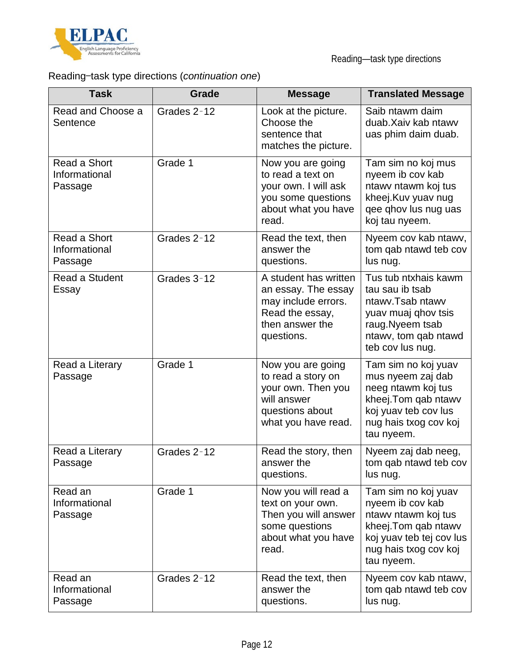

# Reading—task type directions (*continuation one*)

| <b>Task</b>                              | Grade       | <b>Message</b>                                                                                                          | <b>Translated Message</b>                                                                                                                                 |
|------------------------------------------|-------------|-------------------------------------------------------------------------------------------------------------------------|-----------------------------------------------------------------------------------------------------------------------------------------------------------|
| Read and Choose a<br>Sentence            | Grades 2-12 | Look at the picture.<br>Choose the<br>sentence that<br>matches the picture.                                             | Saib ntawm daim<br>duab. Xaiv kab ntawy<br>uas phim daim duab.                                                                                            |
| Read a Short<br>Informational<br>Passage | Grade 1     | Now you are going<br>to read a text on<br>your own. I will ask<br>you some questions<br>about what you have<br>read.    | Tam sim no koj mus<br>nyeem ib cov kab<br>ntawy ntawm koj tus<br>kheej.Kuv yuav nug<br>qee qhov lus nug uas<br>koj tau nyeem.                             |
| Read a Short<br>Informational<br>Passage | Grades 2-12 | Read the text, then<br>answer the<br>questions.                                                                         | Nyeem cov kab ntawv,<br>tom qab ntawd teb cov<br>lus nug.                                                                                                 |
| Read a Student<br>Essay                  | Grades 3-12 | A student has written<br>an essay. The essay<br>may include errors.<br>Read the essay,<br>then answer the<br>questions. | Tus tub ntxhais kawm<br>tau sau ib tsab<br>ntawy.Tsab ntawy<br>yuav muaj qhov tsis<br>raug. Nyeem tsab<br>ntawv, tom qab ntawd<br>teb cov lus nug.        |
| Read a Literary<br>Passage               | Grade 1     | Now you are going<br>to read a story on<br>your own. Then you<br>will answer<br>questions about<br>what you have read.  | Tam sim no koj yuav<br>mus nyeem zaj dab<br>neeg ntawm koj tus<br>kheej. Tom qab ntawv<br>koj yuav teb cov lus<br>nug hais txog cov koj<br>tau nyeem.     |
| Read a Literary<br>Passage               | Grades 2-12 | Read the story, then<br>answer the<br>questions.                                                                        | Nyeem zaj dab neeg,<br>tom qab ntawd teb cov<br>lus nug.                                                                                                  |
| Read an<br>Informational<br>Passage      | Grade 1     | Now you will read a<br>text on your own.<br>Then you will answer<br>some questions<br>about what you have<br>read.      | Tam sim no koj yuav<br>nyeem ib cov kab<br>ntawy ntawm koj tus<br>kheej. Tom qab ntawv<br>koj yuav teb tej cov lus<br>nug hais txog cov koj<br>tau nyeem. |
| Read an<br>Informational<br>Passage      | Grades 2-12 | Read the text, then<br>answer the<br>questions.                                                                         | Nyeem cov kab ntawv,<br>tom qab ntawd teb cov<br>lus nug.                                                                                                 |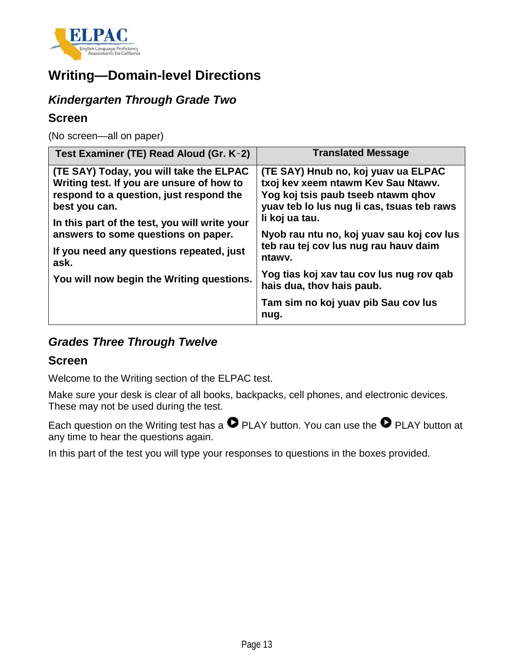

# **Writing—Domain-level Directions**

## *Kindergarten Through Grade Two*

### **Screen**

(No screen—all on paper)

| Test Examiner (TE) Read Aloud (Gr. K-2)                                                                                                          | <b>Translated Message</b>                                                                                                                                     |
|--------------------------------------------------------------------------------------------------------------------------------------------------|---------------------------------------------------------------------------------------------------------------------------------------------------------------|
| (TE SAY) Today, you will take the ELPAC<br>Writing test. If you are unsure of how to<br>respond to a question, just respond the<br>best you can. | (TE SAY) Hnub no, koj yuav ua ELPAC<br>txoj kev xeem ntawm Kev Sau Ntawv.<br>Yog koj tsis paub tseeb ntawm qhov<br>yuav teb lo lus nug li cas, tsuas teb raws |
| In this part of the test, you will write your<br>answers to some questions on paper.                                                             | li koj ua tau.<br>Nyob rau ntu no, koj yuav sau koj cov lus<br>teb rau tej cov lus nug rau hauv daim                                                          |
| If you need any questions repeated, just<br>ask.                                                                                                 | ntawy.                                                                                                                                                        |
| You will now begin the Writing questions.                                                                                                        | Yog tias koj xav tau cov lus nug rov qab<br>hais dua, thov hais paub.                                                                                         |
|                                                                                                                                                  | Tam sim no koj yuav pib Sau cov lus<br>nug.                                                                                                                   |

## *Grades Three Through Twelve*

## **Screen**

Welcome to the Writing section of the ELPAC test.

Make sure your desk is clear of all books, backpacks, cell phones, and electronic devices. These may not be used during the test.

Each question on the Writing test has a  $\bullet$  PLAY button. You can use the  $\bullet$  PLAY button at any time to hear the questions again.

In this part of the test you will type your responses to questions in the boxes provided.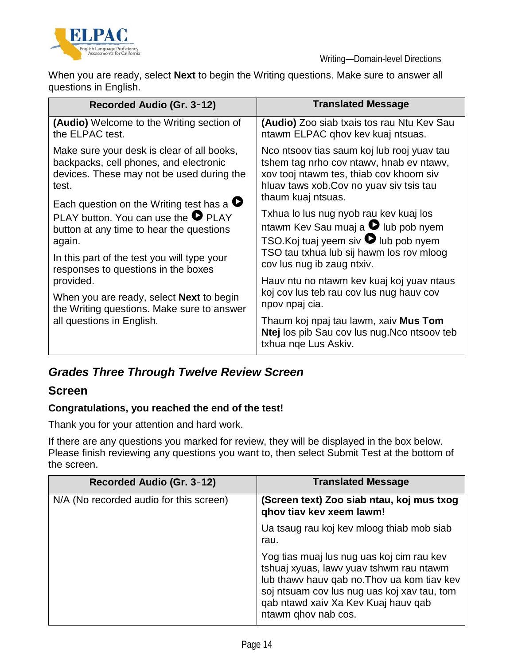

When you are ready, select **Next** to begin the Writing questions. Make sure to answer all questions in English.

| Recorded Audio (Gr. 3-12)                         | <b>Translated Message</b>                                                                                    |  |
|---------------------------------------------------|--------------------------------------------------------------------------------------------------------------|--|
| (Audio) Welcome to the Writing section of         | (Audio) Zoo siab txais tos rau Ntu Kev Sau                                                                   |  |
| the ELPAC test.                                   | ntawm ELPAC qhov kev kuaj ntsuas.                                                                            |  |
| Make sure your desk is clear of all books,        | Nco ntsoov tias saum koj lub rooj yuav tau                                                                   |  |
| backpacks, cell phones, and electronic            | tshem tag nrho cov ntawy, hnab ev ntawy,                                                                     |  |
| devices. These may not be used during the         | xov tooj ntawm tes, thiab cov khoom siv                                                                      |  |
| test.                                             | hluav taws xob. Cov no yuav siv tsis tau                                                                     |  |
| Each question on the Writing test has a $\bullet$ | thaum kuaj ntsuas.                                                                                           |  |
| PLAY button. You can use the $\bullet$ PLAY       | Txhua lo lus nug nyob rau kev kuaj los                                                                       |  |
| button at any time to hear the questions          | ntawm Kev Sau muaj a <sup>O</sup> lub pob nyem                                                               |  |
| again.                                            | TSO. Koj tuaj yeem siv <b>O</b> lub pob nyem                                                                 |  |
| In this part of the test you will type your       | TSO tau txhua lub sij hawm los rov mloog                                                                     |  |
| responses to questions in the boxes               | cov lus nug ib zaug ntxiv.                                                                                   |  |
| provided.                                         | Hauv ntu no ntawm kev kuaj koj yuav ntaus                                                                    |  |
| When you are ready, select <b>Next</b> to begin   | koj cov lus teb rau cov lus nug hauv cov                                                                     |  |
| the Writing questions. Make sure to answer        | npov npaj cia.                                                                                               |  |
| all questions in English.                         | Thaum koj npaj tau lawm, xaiv Mus Tom<br>Ntej los pib Sau cov lus nug. No ntsoov teb<br>txhua nge Lus Askiv. |  |

## *Grades Three Through Twelve Review Screen*

## **Screen**

### **Congratulations, you reached the end of the test!**

Thank you for your attention and hard work.

If there are any questions you marked for review, they will be displayed in the box below. Please finish reviewing any questions you want to, then select Submit Test at the bottom of the screen.

| Recorded Audio (Gr. 3-12)               | <b>Translated Message</b>                                                                                                                                                                                                                        |
|-----------------------------------------|--------------------------------------------------------------------------------------------------------------------------------------------------------------------------------------------------------------------------------------------------|
| N/A (No recorded audio for this screen) | (Screen text) Zoo siab ntau, koj mus txog<br>ghov tiav kev xeem lawm!                                                                                                                                                                            |
|                                         | Ua tsaug rau koj kev mloog thiab mob siab<br>rau.                                                                                                                                                                                                |
|                                         | Yog tias muaj lus nug uas koj cim rau kev<br>tshuaj xyuas, lawy yuay tshwm rau ntawm<br>lub thawy hauy gab no. Thoy ua kom tiay key<br>soj ntsuam cov lus nug uas koj xav tau, tom<br>gab ntawd xaiv Xa Kev Kuaj hauv gab<br>ntawm ghov nab cos. |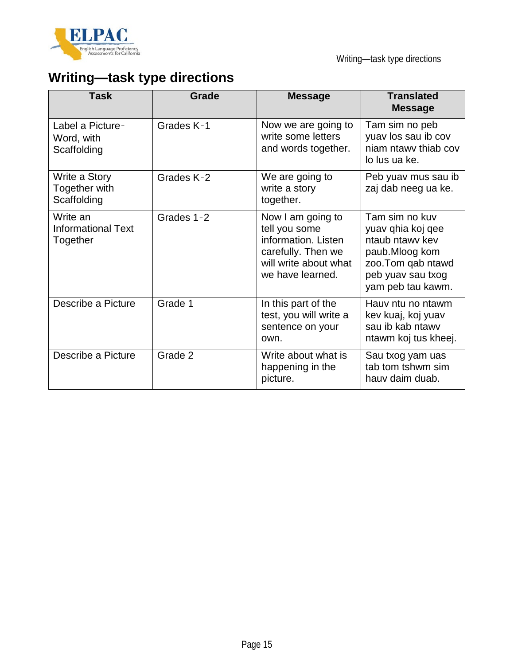

# **Writing—task type directions**

| <b>Task</b>                                       | <b>Grade</b> | <b>Message</b>                                                                                                               | <b>Translated</b><br><b>Message</b>                                                                                                      |
|---------------------------------------------------|--------------|------------------------------------------------------------------------------------------------------------------------------|------------------------------------------------------------------------------------------------------------------------------------------|
| Label a Picture-<br>Word, with<br>Scaffolding     | Grades K-1   | Now we are going to<br>write some letters<br>and words together.                                                             | Tam sim no peb<br>yuav los sau ib cov<br>niam ntawy thiab cov<br>lo lus ua ke.                                                           |
| Write a Story<br>Together with<br>Scaffolding     | Grades K-2   | We are going to<br>write a story<br>together.                                                                                | Peb yuav mus sau ib<br>zaj dab neeg ua ke.                                                                                               |
| Write an<br><b>Informational Text</b><br>Together | Grades 1-2   | Now I am going to<br>tell you some<br>information. Listen<br>carefully. Then we<br>will write about what<br>we have learned. | Tam sim no kuv<br>yuav qhia koj qee<br>ntaub ntawy key<br>paub.Mloog kom<br>zoo. Tom qab ntawd<br>peb yuav sau txog<br>yam peb tau kawm. |
| Describe a Picture                                | Grade 1      | In this part of the<br>test, you will write a<br>sentence on your<br>own.                                                    | Hauv ntu no ntawm<br>kev kuaj, koj yuav<br>sau ib kab ntawv<br>ntawm koj tus kheej.                                                      |
| Describe a Picture                                | Grade 2      | Write about what is<br>happening in the<br>picture.                                                                          | Sau txog yam uas<br>tab tom tshwm sim<br>hauv daim duab.                                                                                 |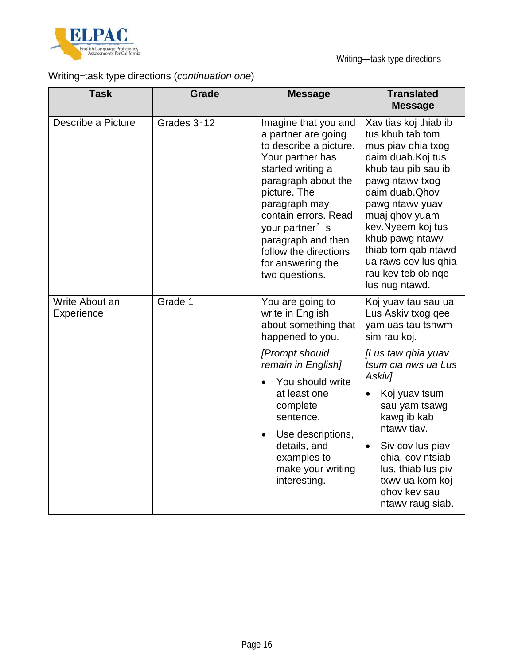

# Writing—task type directions (*continuation one*)

| <b>Task</b>                  | Grade       | <b>Message</b>                                                                                                                                                                                                                                                                                           | <b>Translated</b><br><b>Message</b>                                                                                                                                                                                                                                                                                                                  |
|------------------------------|-------------|----------------------------------------------------------------------------------------------------------------------------------------------------------------------------------------------------------------------------------------------------------------------------------------------------------|------------------------------------------------------------------------------------------------------------------------------------------------------------------------------------------------------------------------------------------------------------------------------------------------------------------------------------------------------|
| Describe a Picture           | Grades 3-12 | Imagine that you and<br>a partner are going<br>to describe a picture.<br>Your partner has<br>started writing a<br>paragraph about the<br>picture. The<br>paragraph may<br>contain errors. Read<br>your partner's<br>paragraph and then<br>follow the directions<br>for answering the<br>two questions.   | Xav tias koj thiab ib<br>tus khub tab tom<br>mus piav qhia txog<br>daim duab. Koj tus<br>khub tau pib sau ib<br>pawg ntawy txog<br>daim duab. Qhov<br>pawg ntawy yuav<br>muaj qhov yuam<br>kev. Nyeem koj tus<br>khub pawg ntawv<br>thiab tom qab ntawd<br>ua raws cov lus qhia<br>rau kev teb ob nqe<br>lus nug ntawd.                              |
| Write About an<br>Experience | Grade 1     | You are going to<br>write in English<br>about something that<br>happened to you.<br>[Prompt should<br>remain in English]<br>You should write<br>$\bullet$<br>at least one<br>complete<br>sentence.<br>Use descriptions,<br>$\bullet$<br>details, and<br>examples to<br>make your writing<br>interesting. | Koj yuav tau sau ua<br>Lus Askiv txog qee<br>yam uas tau tshwm<br>sim rau koj.<br>[Lus taw qhia yuav<br>tsum cia nws ua Lus<br>Askiv]<br>Koj yuav tsum<br>$\bullet$<br>sau yam tsawg<br>kawg ib kab<br>ntawy tiav.<br>Siv cov lus piav<br>$\bullet$<br>qhia, cov ntsiab<br>lus, thiab lus piv<br>txwy ua kom koj<br>ghov kev sau<br>ntawy raug siab. |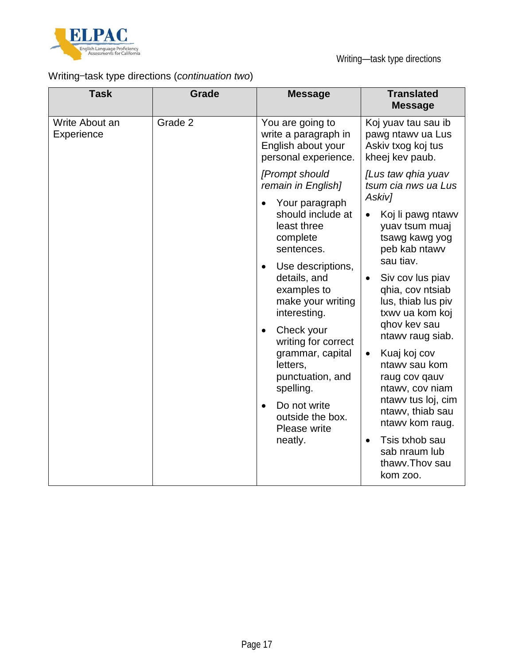

# Writing—task type directions (*continuation two*)

| <b>Task</b>                  | <b>Grade</b>                                                  | <b>Message</b>                                                                                     | <b>Translated</b><br><b>Message</b>                                                        |
|------------------------------|---------------------------------------------------------------|----------------------------------------------------------------------------------------------------|--------------------------------------------------------------------------------------------|
| Write About an<br>Experience | Grade 2                                                       | You are going to<br>write a paragraph in<br>English about your<br>personal experience.             | Koj yuav tau sau ib<br>pawg ntawy ua Lus<br>Askiv txog koj tus<br>kheej kev paub.          |
|                              |                                                               | [Prompt should<br>remain in English]                                                               | [Lus taw qhia yuav<br>tsum cia nws ua Lus<br>Askiv]                                        |
|                              |                                                               | Your paragraph<br>should include at<br>least three<br>complete<br>sentences.                       | Koj li pawg ntawy<br>yuav tsum muaj<br>tsawg kawg yog<br>peb kab ntawv                     |
|                              |                                                               | Use descriptions,<br>$\bullet$<br>details, and<br>examples to<br>make your writing<br>interesting. | sau tiav.<br>Siv cov lus piav<br>qhia, cov ntsiab<br>lus, thiab lus piv<br>txwy ua kom koj |
|                              |                                                               | Check your<br>$\bullet$<br>writing for correct                                                     | ghov kev sau<br>ntawy raug siab.                                                           |
|                              |                                                               | grammar, capital<br>letters,<br>punctuation, and<br>spelling.                                      | Kuaj koj cov<br>$\bullet$<br>ntawy sau kom<br>raug cov qauv<br>ntawy, cov niam             |
|                              | Do not write<br>$\bullet$<br>outside the box.<br>Please write | ntawy tus loj, cim<br>ntawy, thiab sau<br>ntawv kom raug.                                          |                                                                                            |
|                              |                                                               | neatly.                                                                                            | Tsis txhob sau<br>sab nraum lub<br>thawy. Thoy sau<br>kom zoo.                             |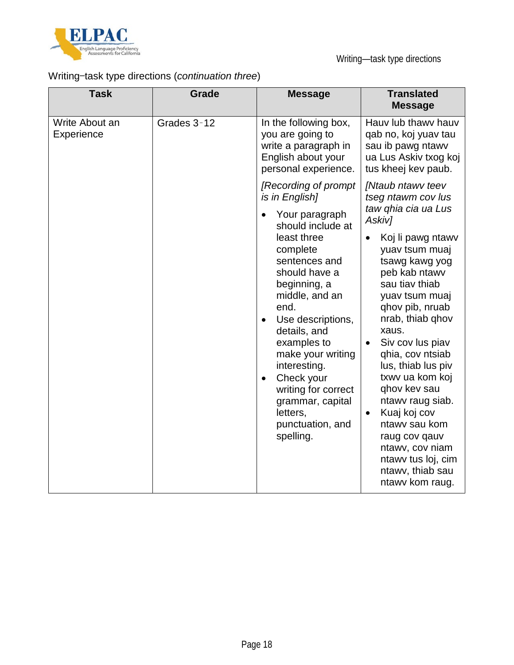

# Writing—task type directions (*continuation three*)

| <b>Task</b>                  | Grade       | <b>Message</b>                                                                                                                                                                                                                                                                                                                                    | <b>Translated</b><br><b>Message</b>                                                                                                                                                                                                                                                                                                                                                                                            |
|------------------------------|-------------|---------------------------------------------------------------------------------------------------------------------------------------------------------------------------------------------------------------------------------------------------------------------------------------------------------------------------------------------------|--------------------------------------------------------------------------------------------------------------------------------------------------------------------------------------------------------------------------------------------------------------------------------------------------------------------------------------------------------------------------------------------------------------------------------|
| Write About an<br>Experience | Grades 3-12 | In the following box,<br>you are going to<br>write a paragraph in<br>English about your<br>personal experience.                                                                                                                                                                                                                                   | Hauv lub thawy hauv<br>qab no, koj yuav tau<br>sau ib pawg ntawv<br>ua Lus Askiv txog koj<br>tus kheej kev paub.                                                                                                                                                                                                                                                                                                               |
|                              |             | [Recording of prompt<br>is in English]<br>Your paragraph                                                                                                                                                                                                                                                                                          | [Ntaub ntawv teev<br>tseg ntawm cov lus<br>taw ghia cia ua Lus<br>Askiv]                                                                                                                                                                                                                                                                                                                                                       |
|                              |             | should include at<br>least three<br>complete<br>sentences and<br>should have a<br>beginning, a<br>middle, and an<br>end.<br>Use descriptions,<br>$\bullet$<br>details, and<br>examples to<br>make your writing<br>interesting.<br>Check your<br>$\bullet$<br>writing for correct<br>grammar, capital<br>letters,<br>punctuation, and<br>spelling. | Koj li pawg ntawv<br>yuav tsum muaj<br>tsawg kawg yog<br>peb kab ntawv<br>sau tiav thiab<br>yuav tsum muaj<br>qhov pib, nruab<br>nrab, thiab qhov<br>xaus.<br>Siv cov lus piav<br>qhia, cov ntsiab<br>lus, thiab lus piv<br>txwy ua kom koj<br>ghov kev sau<br>ntawy raug siab.<br>Kuaj koj cov<br>$\bullet$<br>ntawy sau kom<br>raug cov qauv<br>ntawy, cov niam<br>ntawy tus loj, cim<br>ntawv, thiab sau<br>ntawy kom raug. |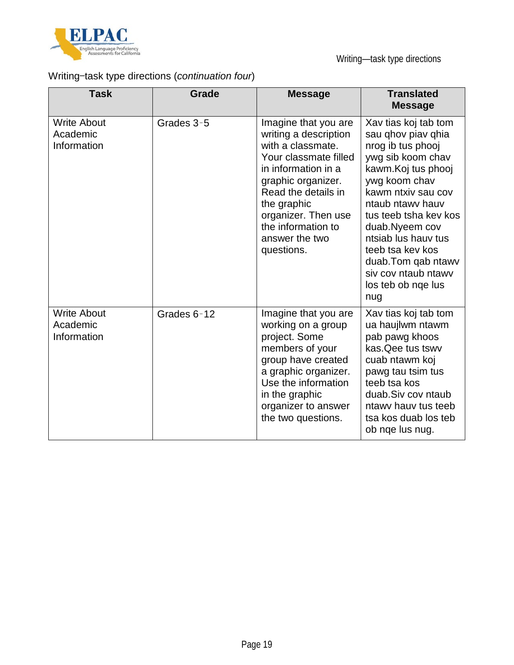

# Writing—task type directions (*continuation four*)

| <b>Task</b>                                   | Grade       | <b>Message</b>                                                                                                                                                                                                                                              | <b>Translated</b><br><b>Message</b>                                                                                                                                                                                                                                                                                                    |
|-----------------------------------------------|-------------|-------------------------------------------------------------------------------------------------------------------------------------------------------------------------------------------------------------------------------------------------------------|----------------------------------------------------------------------------------------------------------------------------------------------------------------------------------------------------------------------------------------------------------------------------------------------------------------------------------------|
| <b>Write About</b><br>Academic<br>Information | Grades 3-5  | Imagine that you are<br>writing a description<br>with a classmate.<br>Your classmate filled<br>in information in a<br>graphic organizer.<br>Read the details in<br>the graphic<br>organizer. Then use<br>the information to<br>answer the two<br>questions. | Xav tias koj tab tom<br>sau ghov piav ghia<br>nrog ib tus phooj<br>ywg sib koom chav<br>kawm.Koj tus phooj<br>ywg koom chav<br>kawm ntxiy sau cov<br>ntaub ntawy hauv<br>tus teeb tsha key kos<br>duab.Nyeem cov<br>ntsiab lus hauv tus<br>teeb tsa kev kos<br>duab. Tom qab ntawy<br>siv cov ntaub ntawv<br>los teb ob nqe lus<br>nug |
| <b>Write About</b><br>Academic<br>Information | Grades 6-12 | Imagine that you are<br>working on a group<br>project. Some<br>members of your<br>group have created<br>a graphic organizer.<br>Use the information<br>in the graphic<br>organizer to answer<br>the two questions.                                          | Xav tias koj tab tom<br>ua haujlwm ntawm<br>pab pawg khoos<br>kas. Qee tus tswv<br>cuab ntawm koj<br>pawg tau tsim tus<br>teeb tsa kos<br>duab.Siv cov ntaub<br>ntawy hauy tus teeb<br>tsa kos duab los teb<br>ob nge lus nug.                                                                                                         |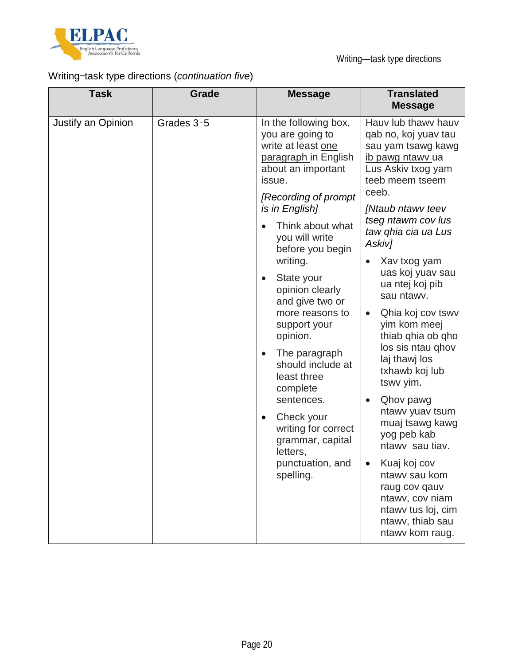

# Writing—task type directions (*continuation five*)

| <b>Task</b>                      | Grade                                                                                                                                                             | <b>Message</b>                                                                                                                                               | <b>Translated</b><br><b>Message</b>                                                                                            |
|----------------------------------|-------------------------------------------------------------------------------------------------------------------------------------------------------------------|--------------------------------------------------------------------------------------------------------------------------------------------------------------|--------------------------------------------------------------------------------------------------------------------------------|
| Justify an Opinion<br>Grades 3-5 | In the following box,<br>you are going to<br>write at least one<br>paragraph in English<br>about an important<br>issue.<br>[Recording of prompt<br>is in English] | Hauv lub thawy hauv<br>qab no, koj yuav tau<br>sau yam tsawg kawg<br>ib pawg ntawy ua<br>Lus Askiv txog yam<br>teeb meem tseem<br>ceeb.<br>[Ntaub ntawy teev |                                                                                                                                |
|                                  |                                                                                                                                                                   | Think about what<br>you will write<br>before you begin                                                                                                       | tseg ntawm cov lus<br>taw ghia cia ua Lus<br>Askiv]                                                                            |
|                                  |                                                                                                                                                                   | writing.<br>State your<br>$\bullet$<br>opinion clearly<br>and give two or                                                                                    | Xav txog yam<br>uas koj yuav sau<br>ua ntej koj pib<br>sau ntawv.                                                              |
|                                  |                                                                                                                                                                   | more reasons to<br>support your<br>opinion.                                                                                                                  | Qhia koj cov tswv<br>yim kom meej<br>thiab qhia ob qho<br>los sis ntau ghov                                                    |
|                                  |                                                                                                                                                                   | The paragraph<br>should include at<br>least three<br>complete                                                                                                | laj thawj los<br>txhawb koj lub<br>tswv yim.                                                                                   |
|                                  | sentences.<br>Check your<br>$\bullet$<br>writing for correct<br>grammar, capital<br>letters,                                                                      | Qhov pawg<br>ntawy yuav tsum<br>muaj tsawg kawg<br>yog peb kab<br>ntawy sau tiav.                                                                            |                                                                                                                                |
|                                  |                                                                                                                                                                   | punctuation, and<br>spelling.                                                                                                                                | Kuaj koj cov<br>ntawy sau kom<br>raug cov qauv<br>ntawv, cov niam<br>ntawy tus loj, cim<br>ntawv, thiab sau<br>ntawy kom raug. |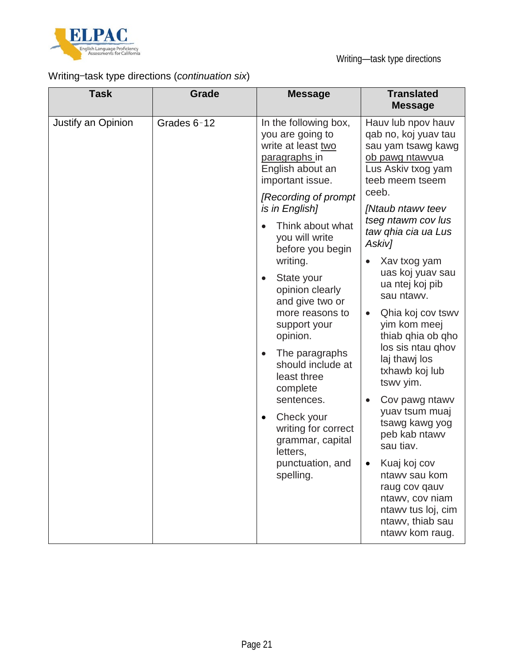

# Writing—task type directions (*continuation six*)

| <b>Task</b>                        | Grade                                                                                                        | <b>Message</b>                                                                                                           | <b>Translated</b><br><b>Message</b>                                                                                                   |
|------------------------------------|--------------------------------------------------------------------------------------------------------------|--------------------------------------------------------------------------------------------------------------------------|---------------------------------------------------------------------------------------------------------------------------------------|
| Justify an Opinion<br>Grades 6-12  |                                                                                                              | In the following box,<br>you are going to<br>write at least two<br>paragraphs in<br>English about an<br>important issue. | Hauv lub npov hauv<br>qab no, koj yuav tau<br>sau yam tsawg kawg<br>ob pawg ntawyua<br>Lus Askiv txog yam<br>teeb meem tseem<br>ceeb. |
|                                    |                                                                                                              | [Recording of prompt<br>is in English]<br>Think about what<br>you will write<br>before you begin                         | [Ntaub ntawv teev<br>tseg ntawm cov lus<br>taw ghia cia ua Lus<br>Askiv]                                                              |
|                                    | writing.<br>State your<br>$\bullet$<br>opinion clearly<br>and give two or<br>more reasons to<br>support your | Xav txog yam<br>uas koj yuav sau<br>ua ntej koj pib<br>sau ntawv.<br>Qhia koj cov tswy<br>yim kom meej                   |                                                                                                                                       |
|                                    |                                                                                                              | opinion.<br>The paragraphs<br>$\bullet$<br>should include at<br>least three<br>complete<br>sentences.                    | thiab qhia ob qho<br>los sis ntau ghov<br>laj thawj los<br>txhawb koj lub<br>tswv yim.<br>Cov pawg ntawy                              |
| $\bullet$<br>letters,<br>spelling. | Check your<br>writing for correct<br>grammar, capital                                                        | yuav tsum muaj<br>tsawg kawg yog<br>peb kab ntawv<br>sau tiav.                                                           |                                                                                                                                       |
|                                    |                                                                                                              | punctuation, and                                                                                                         | Kuaj koj cov<br>ntawy sau kom<br>raug cov qauv<br>ntawv, cov niam<br>ntawy tus loj, cim<br>ntawv, thiab sau<br>ntawy kom raug.        |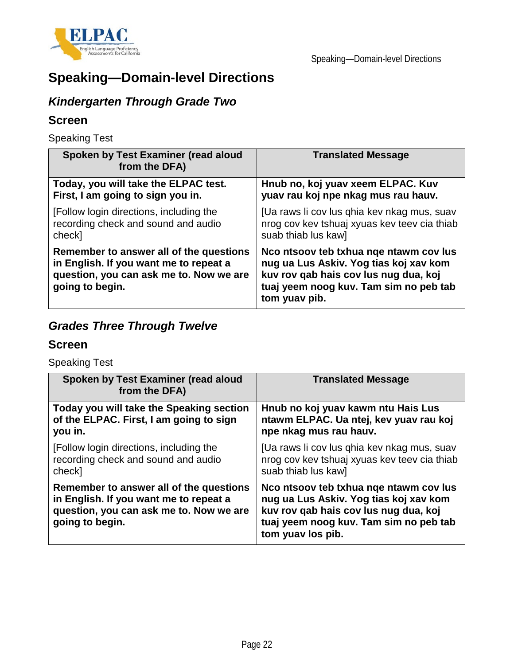

# **Speaking—Domain-level Directions**

# *Kindergarten Through Grade Two*

## **Screen**

Speaking Test

| Spoken by Test Examiner (read aloud<br>from the DFA)                                                                                            | <b>Translated Message</b>                                                                                                                                                            |
|-------------------------------------------------------------------------------------------------------------------------------------------------|--------------------------------------------------------------------------------------------------------------------------------------------------------------------------------------|
| Today, you will take the ELPAC test.                                                                                                            | Hnub no, koj yuav xeem ELPAC. Kuv                                                                                                                                                    |
| First, I am going to sign you in.                                                                                                               | yuav rau koj npe nkag mus rau hauv.                                                                                                                                                  |
| [Follow login directions, including the                                                                                                         | [Ua raws li cov lus ghia kev nkag mus, suav                                                                                                                                          |
| recording check and sound and audio                                                                                                             | nrog cov kev tshuaj xyuas kev teev cia thiab                                                                                                                                         |
| check]                                                                                                                                          | suab thiab lus kaw]                                                                                                                                                                  |
| Remember to answer all of the questions<br>in English. If you want me to repeat a<br>question, you can ask me to. Now we are<br>going to begin. | Noo ntsoov teb txhua nge ntawm cov lus<br>nug ua Lus Askiv. Yog tias koj xav kom<br>kuv rov qab hais cov lus nug dua, koj<br>tuaj yeem noog kuv. Tam sim no peb tab<br>tom yuav pib. |

# *Grades Three Through Twelve*

### **Screen**

Speaking Test

| Spoken by Test Examiner (read aloud<br>from the DFA)                                                                                            | <b>Translated Message</b>                                                                                                                                                               |
|-------------------------------------------------------------------------------------------------------------------------------------------------|-----------------------------------------------------------------------------------------------------------------------------------------------------------------------------------------|
| Today you will take the Speaking section                                                                                                        | Hnub no koj yuav kawm ntu Hais Lus                                                                                                                                                      |
| of the ELPAC. First, I am going to sign                                                                                                         | ntawm ELPAC. Ua ntej, kev yuav rau koj                                                                                                                                                  |
| you in.                                                                                                                                         | npe nkag mus rau hauv.                                                                                                                                                                  |
| [Follow login directions, including the                                                                                                         | [Ua raws li cov lus qhia kev nkag mus, suav                                                                                                                                             |
| recording check and sound and audio                                                                                                             | nrog cov kev tshuaj xyuas kev teev cia thiab                                                                                                                                            |
| check]                                                                                                                                          | suab thiab lus kaw]                                                                                                                                                                     |
| Remember to answer all of the questions<br>in English. If you want me to repeat a<br>question, you can ask me to. Now we are<br>going to begin. | No ntsoov teb txhua nge ntawm cov lus<br>nug ua Lus Askiv. Yog tias koj xav kom<br>kuv rov qab hais cov lus nug dua, koj<br>tuaj yeem noog kuv. Tam sim no peb tab<br>tom yuav los pib. |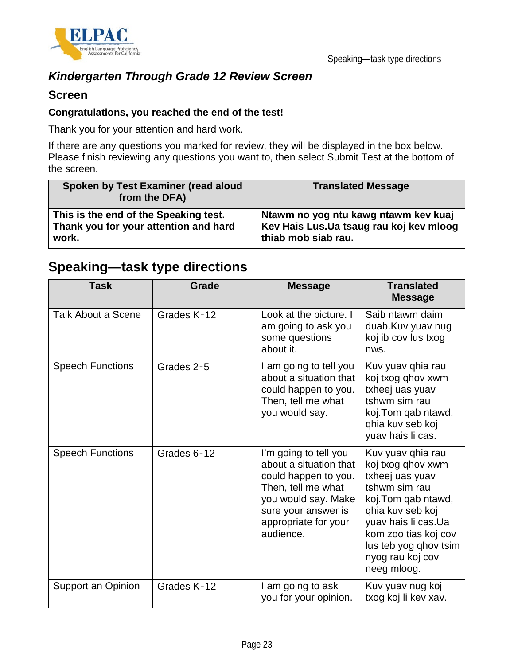

## *Kindergarten Through Grade 12 Review Screen*

### **Screen**

#### **Congratulations, you reached the end of the test!**

Thank you for your attention and hard work.

If there are any questions you marked for review, they will be displayed in the box below. Please finish reviewing any questions you want to, then select Submit Test at the bottom of the screen.

| Spoken by Test Examiner (read aloud<br>from the DFA) | <b>Translated Message</b>                |
|------------------------------------------------------|------------------------------------------|
| This is the end of the Speaking test.                | Ntawm no yog ntu kawg ntawm kev kuaj     |
| Thank you for your attention and hard                | Kev Hais Lus. Ua tsaug rau koj kev mloog |
| work.                                                | thiab mob siab rau.                      |

# **Speaking—task type directions**

| <b>Task</b>               | Grade       | <b>Message</b>                                                                                                                                                                   | <b>Translated</b><br><b>Message</b>                                                                                                                                                                                              |
|---------------------------|-------------|----------------------------------------------------------------------------------------------------------------------------------------------------------------------------------|----------------------------------------------------------------------------------------------------------------------------------------------------------------------------------------------------------------------------------|
| <b>Talk About a Scene</b> | Grades K-12 | Look at the picture. I<br>am going to ask you<br>some questions<br>about it.                                                                                                     | Saib ntawm daim<br>duab.Kuv yuav nug<br>koj ib cov lus txog<br>nws.                                                                                                                                                              |
| <b>Speech Functions</b>   | Grades 2-5  | I am going to tell you<br>about a situation that<br>could happen to you.<br>Then, tell me what<br>you would say.                                                                 | Kuv yuav qhia rau<br>koj txog qhov xwm<br>txheej uas yuav<br>tshwm sim rau<br>koj. Tom qab ntawd,<br>qhia kuv seb koj<br>yuav hais li cas.                                                                                       |
| <b>Speech Functions</b>   | Grades 6-12 | I'm going to tell you<br>about a situation that<br>could happen to you.<br>Then, tell me what<br>you would say. Make<br>sure your answer is<br>appropriate for your<br>audience. | Kuv yuav qhia rau<br>koj txog qhov xwm<br>txheej uas yuav<br>tshwm sim rau<br>koj. Tom qab ntawd,<br>ghia kuv seb koj<br>yuav hais li cas.Ua<br>kom zoo tias koj cov<br>lus teb yog qhov tsim<br>nyog rau koj cov<br>neeg mloog. |
| Support an Opinion        | Grades K-12 | I am going to ask<br>you for your opinion.                                                                                                                                       | Kuv yuav nug koj<br>txog koj li kev xav.                                                                                                                                                                                         |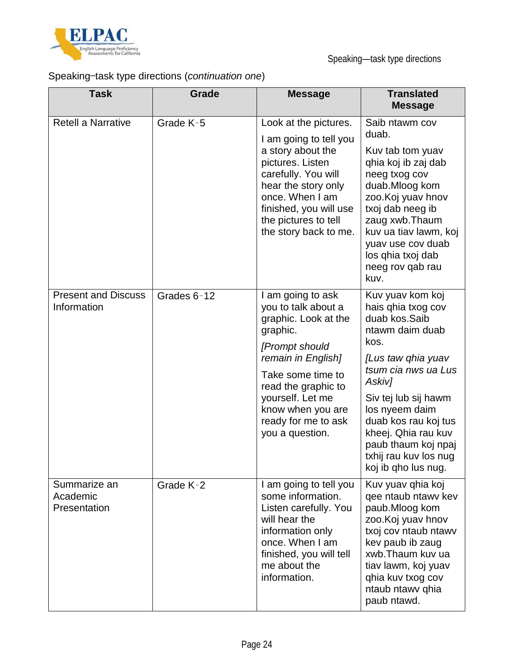

# Speaking—task type directions (*continuation one*)

| <b>Task</b>                               | Grade       | <b>Message</b>                                                                                                                                                                                                                                      | <b>Translated</b><br><b>Message</b>                                                                                                                                                                                                                                                                       |
|-------------------------------------------|-------------|-----------------------------------------------------------------------------------------------------------------------------------------------------------------------------------------------------------------------------------------------------|-----------------------------------------------------------------------------------------------------------------------------------------------------------------------------------------------------------------------------------------------------------------------------------------------------------|
| <b>Retell a Narrative</b>                 | Grade K-5   | Look at the pictures.<br>I am going to tell you<br>a story about the<br>pictures. Listen<br>carefully. You will<br>hear the story only<br>once. When I am<br>finished, you will use<br>the pictures to tell<br>the story back to me.                | Saib ntawm cov<br>duab.<br>Kuv tab tom yuav<br>qhia koj ib zaj dab<br>neeg txog cov<br>duab.Mloog kom<br>zoo. Koj yuav hnov<br>txoj dab neeg ib<br>zaug xwb. Thaum<br>kuv ua tiav lawm, koj<br>yuav use cov duab<br>los ghia txoj dab<br>neeg rov qab rau<br>kuv.                                         |
| <b>Present and Discuss</b><br>Information | Grades 6-12 | I am going to ask<br>you to talk about a<br>graphic. Look at the<br>graphic.<br>[Prompt should<br>remain in English]<br>Take some time to<br>read the graphic to<br>yourself. Let me<br>know when you are<br>ready for me to ask<br>you a question. | Kuv yuav kom koj<br>hais qhia txog cov<br>duab kos.Saib<br>ntawm daim duab<br>kos.<br>[Lus taw qhia yuav<br>tsum cia nws ua Lus<br>Askiv]<br>Siv tej lub sij hawm<br>los nyeem daim<br>duab kos rau koj tus<br>kheej. Qhia rau kuv<br>paub thaum koj npaj<br>txhij rau kuv los nug<br>koj ib qho lus nug. |
| Summarize an<br>Academic<br>Presentation  | Grade K-2   | I am going to tell you<br>some information.<br>Listen carefully. You<br>will hear the<br>information only<br>once. When I am<br>finished, you will tell<br>me about the<br>information.                                                             | Kuv yuav qhia koj<br>gee ntaub ntawy kev<br>paub.Mloog kom<br>zoo. Koj yuav hnov<br>txoj cov ntaub ntawv<br>kev paub ib zaug<br>xwb. Thaum kuy ua<br>tiav lawm, koj yuav<br>qhia kuv txog cov<br>ntaub ntawy qhia<br>paub ntawd.                                                                          |